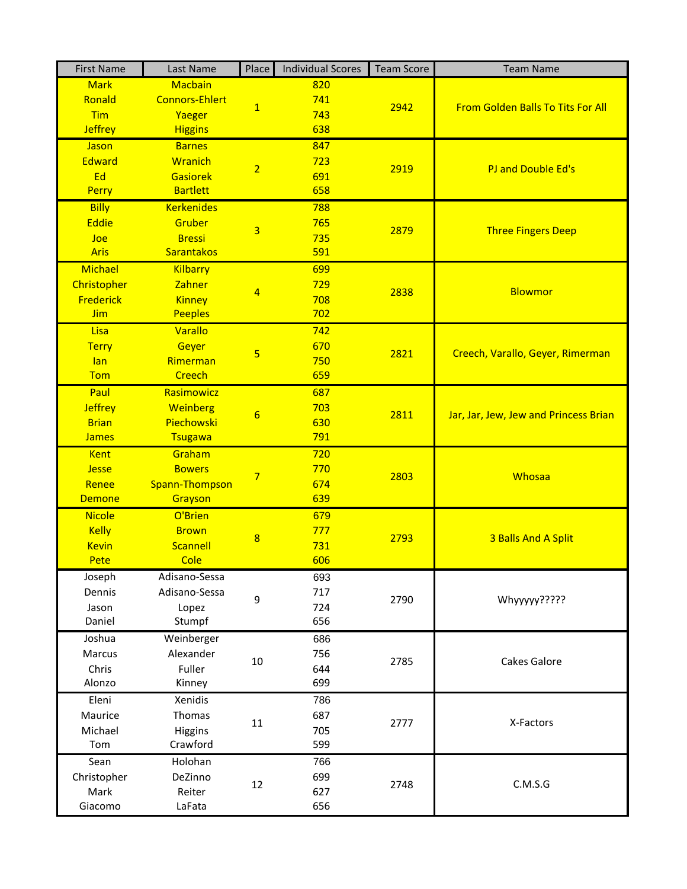| <b>First Name</b> | Last Name             | Place           | <b>Individual Scores</b> | <b>Team Score</b> | <b>Team Name</b>                         |
|-------------------|-----------------------|-----------------|--------------------------|-------------------|------------------------------------------|
| <b>Mark</b>       | <b>Macbain</b>        | $\overline{1}$  | 820                      |                   | <b>From Golden Balls To Tits For All</b> |
| Ronald            | <b>Connors-Ehlert</b> |                 | 741                      | 2942              |                                          |
| <b>Tim</b>        | Yaeger                |                 | 743                      |                   |                                          |
| <b>Jeffrey</b>    | <b>Higgins</b>        |                 | 638                      |                   |                                          |
| Jason             | <b>Barnes</b>         |                 | 847                      |                   | PJ and Double Ed's                       |
| <b>Edward</b>     | <b>Wranich</b>        | $\overline{2}$  | 723                      | 2919              |                                          |
| Ed                | <b>Gasiorek</b>       |                 | 691                      |                   |                                          |
| Perry             | <b>Bartlett</b>       |                 | 658                      |                   |                                          |
| <b>Billy</b>      | <b>Kerkenides</b>     |                 | 788                      |                   | <b>Three Fingers Deep</b>                |
| Eddie             | Gruber                |                 | 765                      |                   |                                          |
| Joe               | <b>Bressi</b>         | 3               | 735                      | 2879              |                                          |
| <b>Aris</b>       | Sarantakos            |                 | 591                      |                   |                                          |
| Michael           | <b>Kilbarry</b>       |                 | 699                      |                   |                                          |
| Christopher       | <b>Zahner</b>         |                 | 729                      |                   |                                          |
| Frederick         | <b>Kinney</b>         | 4               | 708                      | 2838              | <b>Blowmor</b>                           |
| <b>Jim</b>        | <b>Peeples</b>        |                 | 702                      |                   |                                          |
| Lisa              | Varallo               |                 | 742                      |                   |                                          |
| <b>Terry</b>      | Geyer                 |                 | 670                      |                   | Creech, Varallo, Geyer, Rimerman         |
| lan               | Rimerman              | 5               | 750                      | 2821              |                                          |
| <b>Tom</b>        | <b>Creech</b>         |                 | 659                      |                   |                                          |
| Paul              | Rasimowicz            |                 | 687                      |                   |                                          |
| <b>Jeffrey</b>    | Weinberg              |                 | 703                      | 2811              | Jar, Jar, Jew, Jew and Princess Brian    |
| <b>Brian</b>      | Piechowski            | $6\overline{6}$ | 630                      |                   |                                          |
| <b>James</b>      | Tsugawa               |                 | 791                      |                   |                                          |
| Kent              | Graham                |                 | 720                      |                   |                                          |
| <b>Jesse</b>      | <b>Bowers</b>         |                 | 770                      | 2803              | Whosaa                                   |
| Renee             | Spann-Thompson        | $\overline{7}$  | 674                      |                   |                                          |
| <b>Demone</b>     | Grayson               |                 | 639                      |                   |                                          |
| <b>Nicole</b>     | O'Brien               |                 | 679                      |                   |                                          |
| <b>Kelly</b>      | <b>Brown</b>          | 8               | 777                      | 2793              | 3 Balls And A Split                      |
| <b>Kevin</b>      | Scannell              |                 | 731                      |                   |                                          |
| Pete              | Cole                  |                 | 606                      |                   |                                          |
| Joseph            | Adisano-Sessa         |                 | 693                      |                   |                                          |
| Dennis            | Adisano-Sessa         | 9               | 717                      | 2790              | Whyyyy?????                              |
| Jason             | Lopez                 |                 | 724                      |                   |                                          |
| Daniel            | Stumpf                |                 | 656                      |                   |                                          |
| Joshua            | Weinberger            |                 | 686                      |                   |                                          |
| Marcus            | Alexander             | 10              | 756                      |                   | Cakes Galore                             |
| Chris             | Fuller                |                 | 644                      | 2785              |                                          |
| Alonzo            | Kinney                |                 | 699                      |                   |                                          |
| Eleni             | Xenidis               |                 |                          |                   |                                          |
| Maurice           | Thomas                |                 | 786<br>687               | 2777              | X-Factors                                |
|                   |                       | 11              |                          |                   |                                          |
| Michael<br>Tom    | Higgins<br>Crawford   |                 | 705<br>599               |                   |                                          |
|                   |                       |                 |                          |                   |                                          |
| Sean              | Holohan               |                 | 766                      |                   | C.M.S.G                                  |
| Christopher       | DeZinno               | 12              | 699                      | 2748              |                                          |
| Mark              | Reiter                |                 | 627                      |                   |                                          |
| Giacomo           | LaFata                |                 | 656                      |                   |                                          |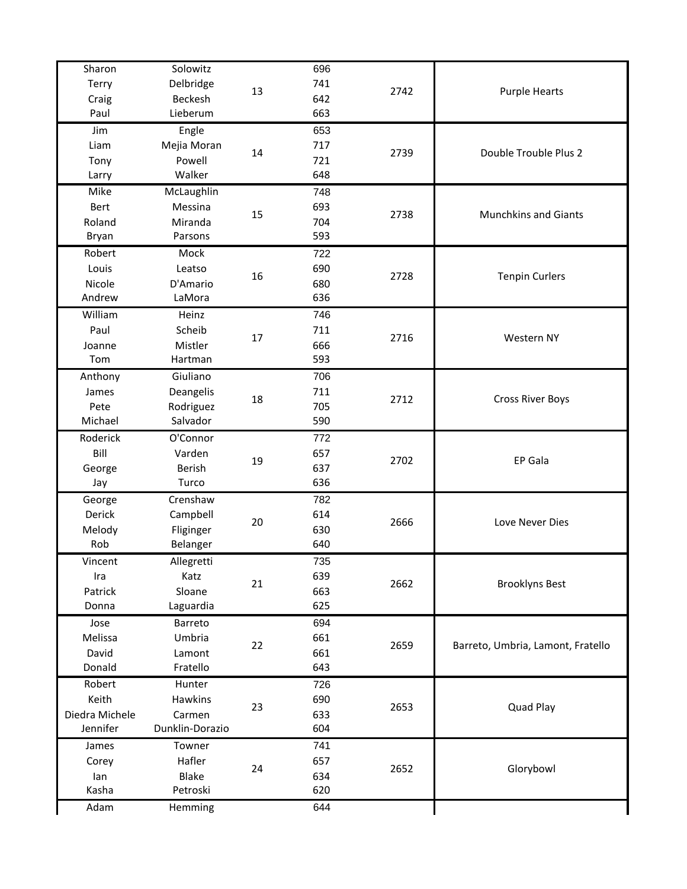| Sharon         | Solowitz        |    | 696 |      |                                   |
|----------------|-----------------|----|-----|------|-----------------------------------|
| Terry          | Delbridge       | 13 | 741 | 2742 | <b>Purple Hearts</b>              |
| Craig          | Beckesh         |    | 642 |      |                                   |
| Paul           | Lieberum        |    | 663 |      |                                   |
| Jim            | Engle           |    | 653 |      |                                   |
| Liam           | Mejia Moran     |    | 717 |      | Double Trouble Plus 2             |
| Tony           | Powell          | 14 | 721 | 2739 |                                   |
| Larry          | Walker          |    | 648 |      |                                   |
| Mike           | McLaughlin      |    | 748 |      |                                   |
| Bert           | Messina         |    | 693 |      |                                   |
| Roland         | Miranda         | 15 | 704 | 2738 | <b>Munchkins and Giants</b>       |
| Bryan          | Parsons         |    | 593 |      |                                   |
| Robert         | Mock            |    | 722 |      |                                   |
| Louis          | Leatso          |    | 690 |      |                                   |
| Nicole         | D'Amario        | 16 | 680 | 2728 | <b>Tenpin Curlers</b>             |
| Andrew         | LaMora          |    | 636 |      |                                   |
| William        | Heinz           |    | 746 |      |                                   |
| Paul           | Scheib          |    | 711 |      |                                   |
| Joanne         | Mistler         | 17 | 666 | 2716 | Western NY                        |
| Tom            | Hartman         |    | 593 |      |                                   |
| Anthony        | Giuliano        |    | 706 |      |                                   |
| James          | Deangelis       |    | 711 |      |                                   |
| Pete           | Rodriguez       | 18 | 705 | 2712 | <b>Cross River Boys</b>           |
| Michael        | Salvador        |    | 590 |      |                                   |
| Roderick       | O'Connor        |    | 772 |      |                                   |
| Bill           | Varden          | 19 | 657 | 2702 | EP Gala                           |
| George         | Berish          |    | 637 |      |                                   |
| Jay            | Turco           |    | 636 |      |                                   |
| George         | Crenshaw        |    | 782 |      |                                   |
| Derick         | Campbell        | 20 | 614 | 2666 | Love Never Dies                   |
| Melody         | Fliginger       |    | 630 |      |                                   |
| Rob            | Belanger        |    | 640 |      |                                   |
| Vincent        | Allegretti      |    | 735 |      |                                   |
| Ira            | Katz            | 21 | 639 |      | <b>Brooklyns Best</b>             |
| Patrick        | Sloane          |    | 663 | 2662 |                                   |
| Donna          | Laguardia       |    | 625 |      |                                   |
| Jose           | Barreto         |    | 694 |      |                                   |
| Melissa        | Umbria          | 22 | 661 |      | Barreto, Umbria, Lamont, Fratello |
| David          | Lamont          |    | 661 | 2659 |                                   |
| Donald         | Fratello        |    | 643 |      |                                   |
| Robert         | Hunter          |    | 726 |      |                                   |
| Keith          | Hawkins         | 23 | 690 | 2653 |                                   |
| Diedra Michele | Carmen          |    | 633 |      | Quad Play                         |
| Jennifer       | Dunklin-Dorazio |    | 604 |      |                                   |
| James          | Towner          |    | 741 |      |                                   |
| Corey          | Hafler          |    | 657 |      | Glorybowl                         |
| lan            | <b>Blake</b>    | 24 | 634 | 2652 |                                   |
| Kasha          | Petroski        |    | 620 |      |                                   |
|                |                 |    |     |      |                                   |
| Adam           | Hemming         |    | 644 |      |                                   |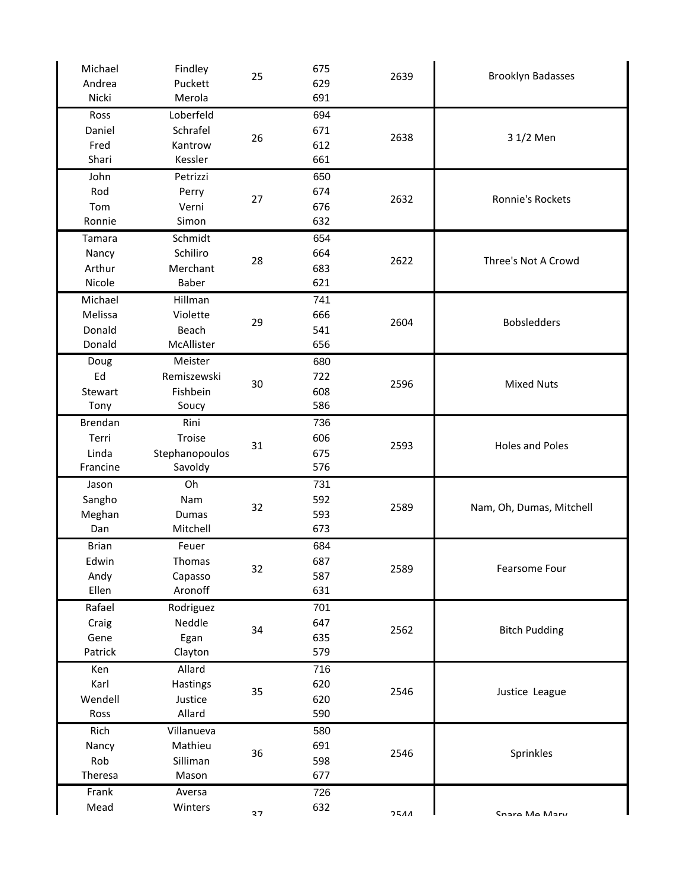| Michael<br>Andrea | Findley<br>Puckett | 25 | 675<br>629 | 2639 | <b>Brooklyn Badasses</b> |
|-------------------|--------------------|----|------------|------|--------------------------|
| Nicki             | Merola             |    | 691        |      |                          |
|                   | Loberfeld          |    |            |      |                          |
| Ross<br>Daniel    | Schrafel           |    | 694<br>671 |      |                          |
|                   |                    | 26 | 612        | 2638 | 3 1/2 Men                |
| Fred<br>Shari     | Kantrow<br>Kessler |    | 661        |      |                          |
|                   |                    |    |            |      |                          |
| John              | Petrizzi           |    | 650        |      |                          |
| Rod               | Perry              | 27 | 674        | 2632 | Ronnie's Rockets         |
| Tom               | Verni              |    | 676        |      |                          |
| Ronnie            | Simon              |    | 632        |      |                          |
| Tamara            | Schmidt            | 28 | 654        |      | Three's Not A Crowd      |
| Nancy             | Schiliro           |    | 664        | 2622 |                          |
| Arthur            | Merchant           |    | 683        |      |                          |
| Nicole            | Baber              |    | 621        |      |                          |
| Michael           | Hillman            |    | 741        |      |                          |
| Melissa           | Violette           | 29 | 666        | 2604 | <b>Bobsledders</b>       |
| Donald            | Beach              |    | 541        |      |                          |
| Donald            | McAllister         |    | 656        |      |                          |
| Doug              | Meister            |    | 680        |      |                          |
| Ed                | Remiszewski        | 30 | 722        | 2596 | <b>Mixed Nuts</b>        |
| Stewart           | Fishbein           |    | 608        |      |                          |
| Tony              | Soucy              |    | 586        |      |                          |
| <b>Brendan</b>    | Rini               |    | 736        |      |                          |
| Terri             | Troise             |    | 606        |      |                          |
| Linda             | Stephanopoulos     | 31 | 675        | 2593 | <b>Holes and Poles</b>   |
| Francine          | Savoldy            |    | 576        |      |                          |
| Jason             | Oh                 |    | 731        |      |                          |
| Sangho            | Nam                |    | 592        |      |                          |
| Meghan            | <b>Dumas</b>       | 32 | 593        | 2589 | Nam, Oh, Dumas, Mitchell |
| Dan               | Mitchell           |    | 673        |      |                          |
| <b>Brian</b>      | Feuer              |    | 684        |      |                          |
| Edwin             | <b>Thomas</b>      |    | 687        |      |                          |
| Andy              | Capasso            | 32 | 587        | 2589 | Fearsome Four            |
| Ellen             | Aronoff            |    | 631        |      |                          |
| Rafael            | Rodriguez          |    | 701        |      |                          |
| Craig             | Neddle             | 34 | 647        |      | <b>Bitch Pudding</b>     |
| Gene              | Egan               |    | 635        | 2562 |                          |
| Patrick           |                    |    | 579        |      |                          |
|                   |                    |    |            |      |                          |
|                   | Clayton            |    |            |      |                          |
| Ken               | Allard             |    | 716        |      |                          |
| Karl              | Hastings           | 35 | 620        | 2546 | Justice League           |
| Wendell           | Justice            |    | 620        |      |                          |
| Ross              | Allard             |    | 590        |      |                          |
| Rich              | Villanueva         |    | 580        |      |                          |
| Nancy             | Mathieu            | 36 | 691        | 2546 | Sprinkles                |
| Rob               | Silliman           |    | 598        |      |                          |
| Theresa           | Mason              |    | 677        |      |                          |
| Frank<br>Mead     | Aversa<br>Winters  |    | 726<br>632 | 2511 |                          |